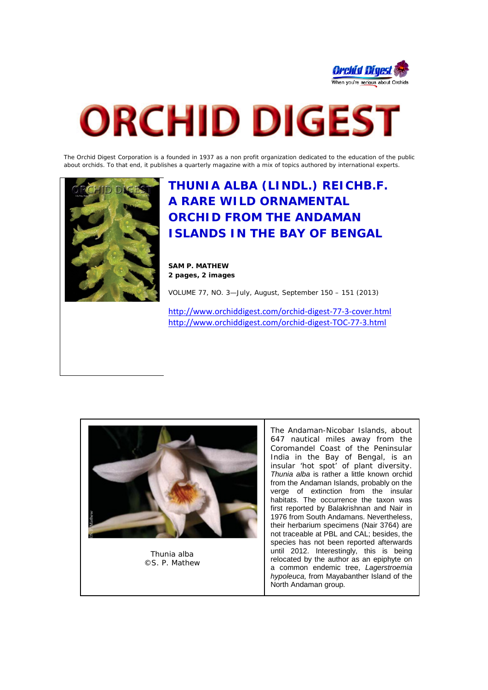

# **ORCHID DIGEST**

The Orchid Digest Corporation is a founded in 1937 as a non profit organization dedicated to the education of the public about orchids. To that end, it publishes a quarterly magazine with a mix of topics authored by international experts.



**THUNIA ALBA (LINDL.) REICHB.F. A RARE WILD ORNAMENTAL ORCHID FROM THE ANDAMAN ISLANDS IN THE BAY OF BENGAL**

**SAM P. MATHEW 2 pages, 2 images**

VOLUME 77, NO. 3—July, August, September 150 – 151 (2013)

<http://www.orchiddigest.com/orchid-digest-77-3-cover.html> <http://www.orchiddigest.com/orchid-digest-TOC-77-3.html>



*Thunia alba* ©S. P. Mathew

The Andaman-Nicobar Islands, about 647 nautical miles away from the Coromandel Coast of the Peninsular India in the Bay of Bengal, is an insular 'hot spot' of plant diversity. *Thunia alba* is rather a little known orchid from the Andaman Islands, probably on the verge of extinction from the insular habitats. The occurrence the taxon was first reported by Balakrishnan and Nair in 1976 from South Andamans. Nevertheless, their herbarium specimens (Nair 3764) are not traceable at PBL and CAL; besides, the species has not been reported afterwards until 2012. Interestingly, this is being relocated by the author as an epiphyte on a common endemic tree, *Lagerstroemia hypoleuca,* from Mayabanther Island of the North Andaman group.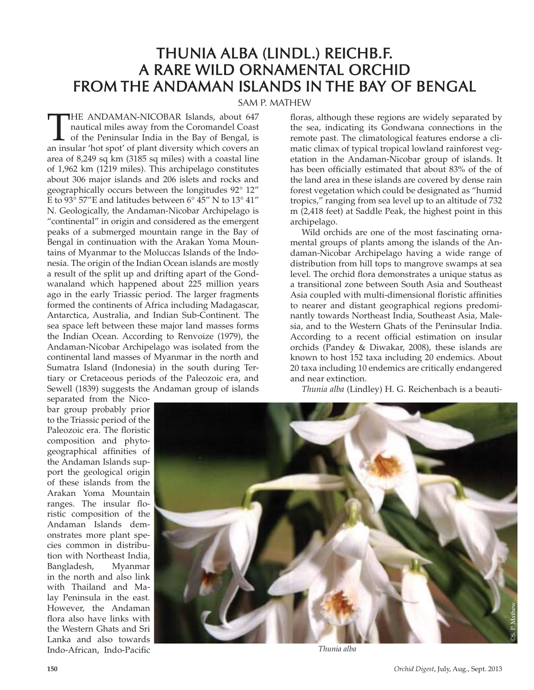## **THUNIA ALBA (LINDL.) REICHB.F. A RARE WILD ORNAMENTAL ORCHID FROM THE ANDAMAN ISLANDS IN THE BAY OF BENGAL**

SAM P. MATHEW

THE ANDAMAN-NICOBAR Islands, about 647<br>nautical miles away from the Coromandel Coast<br>of the Peninsular India in the Bay of Bengal, is<br>an insular 'hot spot' of plant diversity which covers an nautical miles away from the Coromandel Coast of the Peninsular India in the Bay of Bengal, is an insular 'hot spot' of plant diversity which covers an area of 8,249 sq km (3185 sq miles) with a coastal line of 1,962 km (1219 miles). This archipelago constitutes about 306 major islands and 206 islets and rocks and geographically occurs between the longitudes 92° 12" E to 93° 57″E and latitudes between 6° 45″ N to 13° 41″ N. Geologically, the Andaman-Nicobar Archipelago is "continental" in origin and considered as the emergent peaks of a submerged mountain range in the Bay of Bengal in continuation with the Arakan Yoma Mountains of Myanmar to the Moluccas Islands of the Indonesia. The origin of the Indian Ocean islands are mostly a result of the split up and drifting apart of the Gondwanaland which happened about 225 million years ago in the early Triassic period. The larger fragments formed the continents of Africa including Madagascar, Antarctica, Australia, and Indian Sub-Continent. The sea space left between these major land masses forms the Indian Ocean. According to Renvoize (1979), the Andaman-Nicobar Archipelago was isolated from the continental land masses of Myanmar in the north and Sumatra Island (Indonesia) in the south during Tertiary or Cretaceous periods of the Paleozoic era, and Sewell (1839) suggests the Andaman group of islands

floras, although these regions are widely separated by the sea, indicating its Gondwana connections in the remote past. The climatological features endorse a climatic climax of typical tropical lowland rainforest vegetation in the Andaman-Nicobar group of islands. It has been officially estimated that about 83% of the of the land area in these islands are covered by dense rain forest vegetation which could be designated as "humid tropics," ranging from sea level up to an altitude of 732 m (2,418 feet) at Saddle Peak, the highest point in this archipelago.

Wild orchids are one of the most fascinating ornamental groups of plants among the islands of the Andaman-Nicobar Archipelago having a wide range of distribution from hill tops to mangrove swamps at sea level. The orchid flora demonstrates a unique status as a transitional zone between South Asia and Southeast Asia coupled with multi-dimensional floristic affinities to nearer and distant geographical regions predominantly towards Northeast India, Southeast Asia, Malesia, and to the Western Ghats of the Peninsular India. According to a recent official estimation on insular orchids (Pandey & Diwakar, 2008), these islands are known to host 152 taxa including 20 endemics. About 20 taxa including 10 endemics are critically endangered and near extinction.

*Thunia alba* (Lindley) H. G. Reichenbach is a beauti-

separated from the Nicobar group probably prior to the Triassic period of the Paleozoic era. The floristic composition and phytogeographical affinities of the Andaman Islands support the geological origin of these islands from the Arakan Yoma Mountain ranges. The insular floristic composition of the Andaman Islands demonstrates more plant species common in distribution with Northeast India,<br>Bangladesh, Myanmar Bangladesh, in the north and also link with Thailand and Malay Peninsula in the east. However, the Andaman flora also have links with the Western Ghats and Sri Lanka and also towards Indo-African, Indo-Pacific



*Thunia alba*